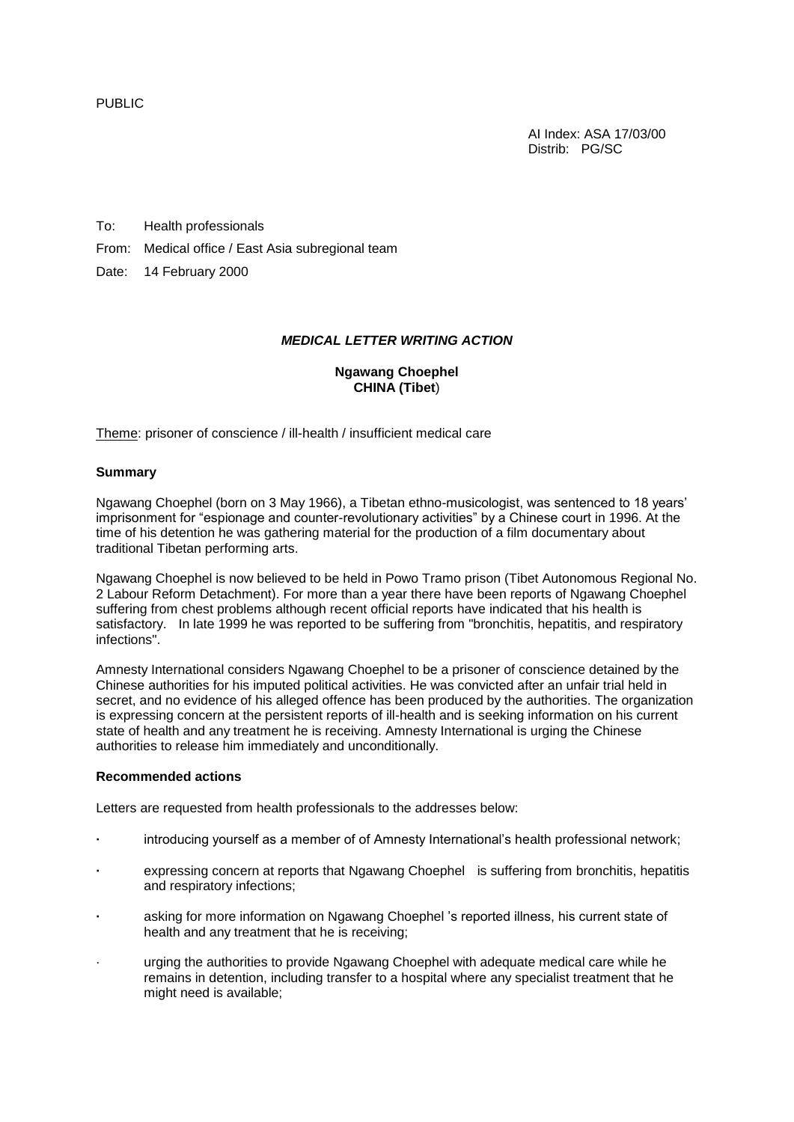PUBLIC

AI Index: ASA 17/03/00 Distrib: PG/SC

To: Health professionals

From: Medical office / East Asia subregional team

Date: 14 February 2000

## *MEDICAL LETTER WRITING ACTION*

## **Ngawang Choephel CHINA (Tibet**)

Theme: prisoner of conscience / ill-health / insufficient medical care

## **Summary**

Ngawang Choephel (born on 3 May 1966), a Tibetan ethno-musicologist, was sentenced to 18 years' imprisonment for "espionage and counter-revolutionary activities" by a Chinese court in 1996. At the time of his detention he was gathering material for the production of a film documentary about traditional Tibetan performing arts.

Ngawang Choephel is now believed to be held in Powo Tramo prison (Tibet Autonomous Regional No. 2 Labour Reform Detachment). For more than a year there have been reports of Ngawang Choephel suffering from chest problems although recent official reports have indicated that his health is satisfactory. In late 1999 he was reported to be suffering from "bronchitis, hepatitis, and respiratory infections".

Amnesty International considers Ngawang Choephel to be a prisoner of conscience detained by the Chinese authorities for his imputed political activities. He was convicted after an unfair trial held in secret, and no evidence of his alleged offence has been produced by the authorities. The organization is expressing concern at the persistent reports of ill-health and is seeking information on his current state of health and any treatment he is receiving. Amnesty International is urging the Chinese authorities to release him immediately and unconditionally.

## **Recommended actions**

Letters are requested from health professionals to the addresses below:

- **·** introducing yourself as a member of of Amnesty International's health professional network;
- **·** expressing concern at reports that Ngawang Choephel is suffering from bronchitis, hepatitis and respiratory infections;
- **·** asking for more information on Ngawang Choephel 's reported illness, his current state of health and any treatment that he is receiving;
- · urging the authorities to provide Ngawang Choephel with adequate medical care while he remains in detention, including transfer to a hospital where any specialist treatment that he might need is available;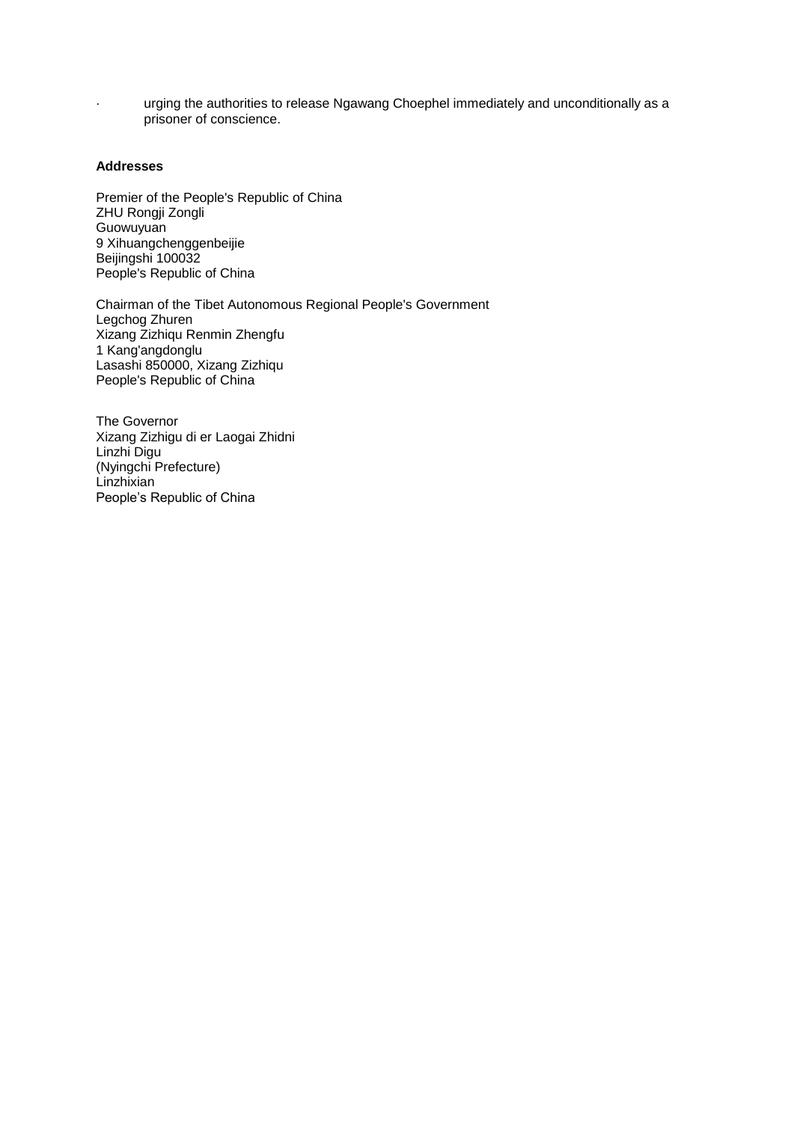· urging the authorities to release Ngawang Choephel immediately and unconditionally as a prisoner of conscience.

## **Addresses**

Premier of the People's Republic of China ZHU Rongji Zongli Guowuyuan 9 Xihuangchenggenbeijie Beijingshi 100032 People's Republic of China

Chairman of the Tibet Autonomous Regional People's Government Legchog Zhuren Xizang Zizhiqu Renmin Zhengfu 1 Kang'angdonglu Lasashi 850000, Xizang Zizhiqu People's Republic of China

The Governor Xizang Zizhigu di er Laogai Zhidni Linzhi Digu (Nyingchi Prefecture) Linzhixian People's Republic of China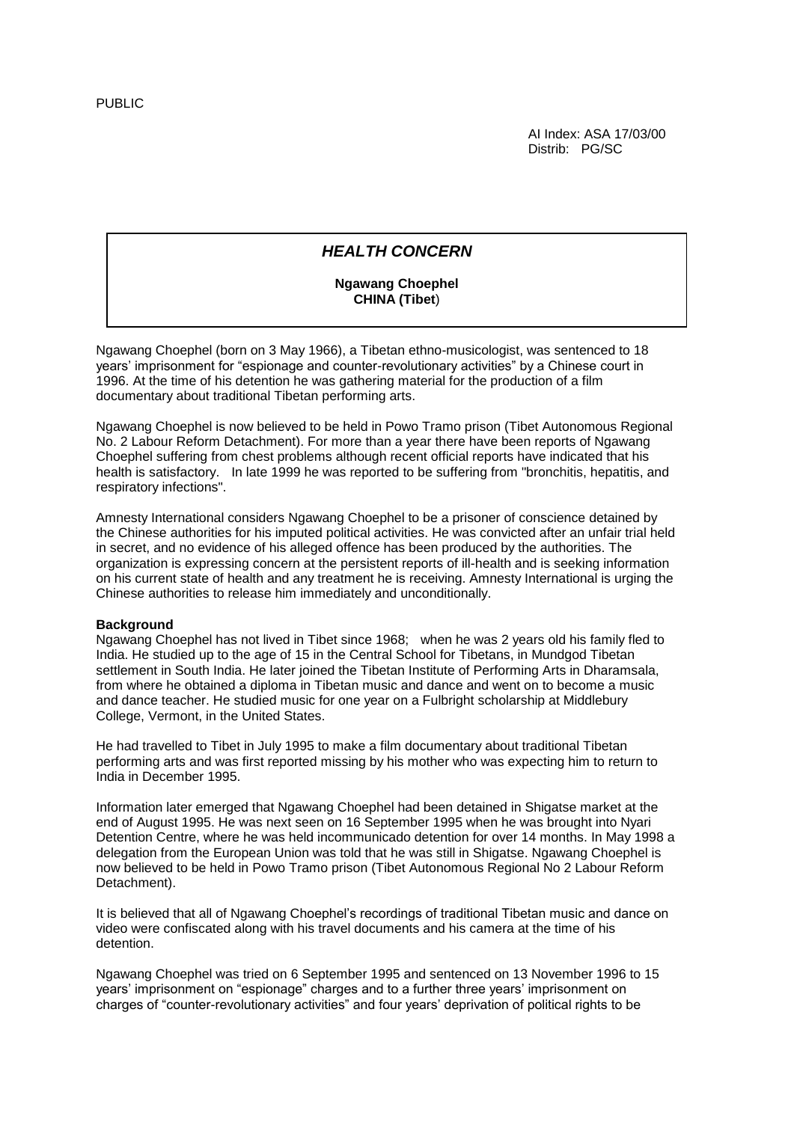AI Index: ASA 17/03/00 Distrib: PG/SC

# *HEALTH CONCERN*

## **Ngawang Choephel CHINA (Tibet**)

Ngawang Choephel (born on 3 May 1966), a Tibetan ethno-musicologist, was sentenced to 18 years' imprisonment for "espionage and counter-revolutionary activities" by a Chinese court in 1996. At the time of his detention he was gathering material for the production of a film documentary about traditional Tibetan performing arts.

Ngawang Choephel is now believed to be held in Powo Tramo prison (Tibet Autonomous Regional No. 2 Labour Reform Detachment). For more than a year there have been reports of Ngawang Choephel suffering from chest problems although recent official reports have indicated that his health is satisfactory. In late 1999 he was reported to be suffering from "bronchitis, hepatitis, and respiratory infections".

Amnesty International considers Ngawang Choephel to be a prisoner of conscience detained by the Chinese authorities for his imputed political activities. He was convicted after an unfair trial held in secret, and no evidence of his alleged offence has been produced by the authorities. The organization is expressing concern at the persistent reports of ill-health and is seeking information on his current state of health and any treatment he is receiving. Amnesty International is urging the Chinese authorities to release him immediately and unconditionally.

## **Background**

Ngawang Choephel has not lived in Tibet since 1968; when he was 2 years old his family fled to India. He studied up to the age of 15 in the Central School for Tibetans, in Mundgod Tibetan settlement in South India. He later joined the Tibetan Institute of Performing Arts in Dharamsala, from where he obtained a diploma in Tibetan music and dance and went on to become a music and dance teacher. He studied music for one year on a Fulbright scholarship at Middlebury College, Vermont, in the United States.

He had travelled to Tibet in July 1995 to make a film documentary about traditional Tibetan performing arts and was first reported missing by his mother who was expecting him to return to India in December 1995.

Information later emerged that Ngawang Choephel had been detained in Shigatse market at the end of August 1995. He was next seen on 16 September 1995 when he was brought into Nyari Detention Centre, where he was held incommunicado detention for over 14 months. In May 1998 a delegation from the European Union was told that he was still in Shigatse. Ngawang Choephel is now believed to be held in Powo Tramo prison (Tibet Autonomous Regional No 2 Labour Reform Detachment).

It is believed that all of Ngawang Choephel's recordings of traditional Tibetan music and dance on video were confiscated along with his travel documents and his camera at the time of his detention.

Ngawang Choephel was tried on 6 September 1995 and sentenced on 13 November 1996 to 15 years' imprisonment on "espionage" charges and to a further three years' imprisonment on charges of "counter-revolutionary activities" and four years' deprivation of political rights to be